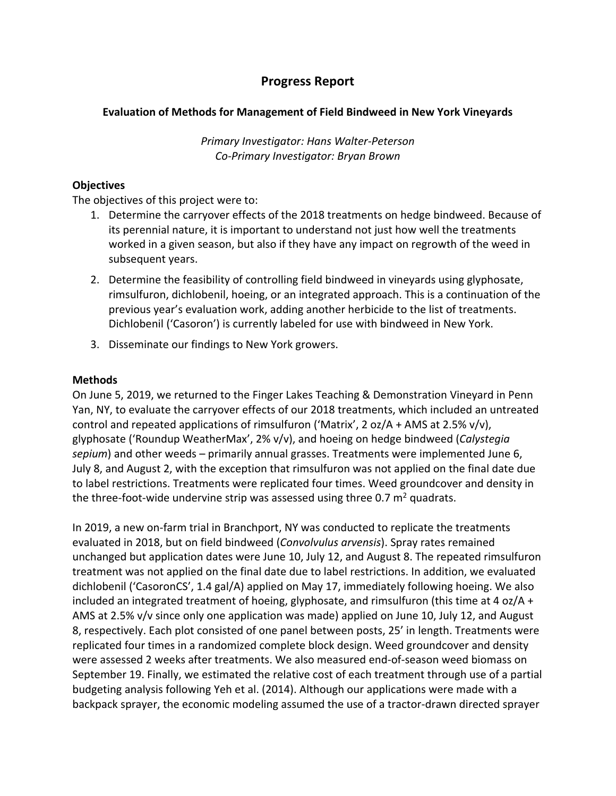# **Progress Report**

## **Evaluation of Methods for Management of Field Bindweed in New York Vineyards**

*Primary Investigator: Hans Walter-Peterson Co-Primary Investigator: Bryan Brown*

## **Objectives**

The objectives of this project were to:

- 1. Determine the carryover effects of the 2018 treatments on hedge bindweed. Because of its perennial nature, it is important to understand not just how well the treatments worked in a given season, but also if they have any impact on regrowth of the weed in subsequent years.
- 2. Determine the feasibility of controlling field bindweed in vineyards using glyphosate, rimsulfuron, dichlobenil, hoeing, or an integrated approach. This is a continuation of the previous year's evaluation work, adding another herbicide to the list of treatments. Dichlobenil ('Casoron') is currently labeled for use with bindweed in New York.
- 3. Disseminate our findings to New York growers.

## **Methods**

On June 5, 2019, we returned to the Finger Lakes Teaching & Demonstration Vineyard in Penn Yan, NY, to evaluate the carryover effects of our 2018 treatments, which included an untreated control and repeated applications of rimsulfuron ('Matrix', 2 oz/A + AMS at 2.5% v/v), glyphosate ('Roundup WeatherMax', 2% v/v), and hoeing on hedge bindweed (*Calystegia sepium*) and other weeds – primarily annual grasses. Treatments were implemented June 6, July 8, and August 2, with the exception that rimsulfuron was not applied on the final date due to label restrictions. Treatments were replicated four times. Weed groundcover and density in the three-foot-wide undervine strip was assessed using three 0.7  $m^2$  quadrats.

In 2019, a new on-farm trial in Branchport, NY was conducted to replicate the treatments evaluated in 2018, but on field bindweed (*Convolvulus arvensis*). Spray rates remained unchanged but application dates were June 10, July 12, and August 8. The repeated rimsulfuron treatment was not applied on the final date due to label restrictions. In addition, we evaluated dichlobenil ('CasoronCS', 1.4 gal/A) applied on May 17, immediately following hoeing. We also included an integrated treatment of hoeing, glyphosate, and rimsulfuron (this time at 4 oz/ $A +$ AMS at 2.5% v/v since only one application was made) applied on June 10, July 12, and August 8, respectively. Each plot consisted of one panel between posts, 25' in length. Treatments were replicated four times in a randomized complete block design. Weed groundcover and density were assessed 2 weeks after treatments. We also measured end-of-season weed biomass on September 19. Finally, we estimated the relative cost of each treatment through use of a partial budgeting analysis following Yeh et al. (2014). Although our applications were made with a backpack sprayer, the economic modeling assumed the use of a tractor-drawn directed sprayer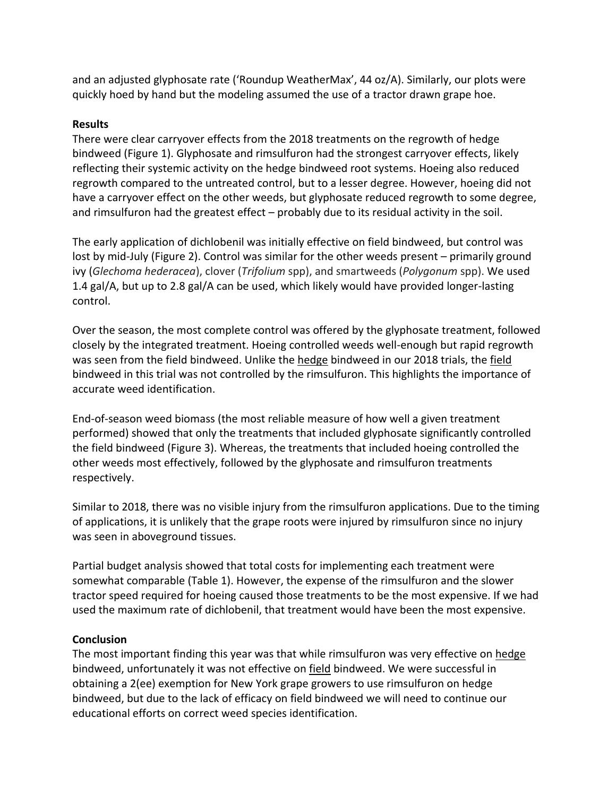and an adjusted glyphosate rate ('Roundup WeatherMax', 44 oz/A). Similarly, our plots were quickly hoed by hand but the modeling assumed the use of a tractor drawn grape hoe.

## **Results**

There were clear carryover effects from the 2018 treatments on the regrowth of hedge bindweed (Figure 1). Glyphosate and rimsulfuron had the strongest carryover effects, likely reflecting their systemic activity on the hedge bindweed root systems. Hoeing also reduced regrowth compared to the untreated control, but to a lesser degree. However, hoeing did not have a carryover effect on the other weeds, but glyphosate reduced regrowth to some degree, and rimsulfuron had the greatest effect – probably due to its residual activity in the soil.

The early application of dichlobenil was initially effective on field bindweed, but control was lost by mid-July (Figure 2). Control was similar for the other weeds present – primarily ground ivy (*Glechoma hederacea*), clover (*Trifolium* spp), and smartweeds (*Polygonum* spp). We used 1.4 gal/A, but up to 2.8 gal/A can be used, which likely would have provided longer-lasting control.

Over the season, the most complete control was offered by the glyphosate treatment, followed closely by the integrated treatment. Hoeing controlled weeds well-enough but rapid regrowth was seen from the field bindweed. Unlike the hedge bindweed in our 2018 trials, the field bindweed in this trial was not controlled by the rimsulfuron. This highlights the importance of accurate weed identification.

End-of-season weed biomass (the most reliable measure of how well a given treatment performed) showed that only the treatments that included glyphosate significantly controlled the field bindweed (Figure 3). Whereas, the treatments that included hoeing controlled the other weeds most effectively, followed by the glyphosate and rimsulfuron treatments respectively.

Similar to 2018, there was no visible injury from the rimsulfuron applications. Due to the timing of applications, it is unlikely that the grape roots were injured by rimsulfuron since no injury was seen in aboveground tissues.

Partial budget analysis showed that total costs for implementing each treatment were somewhat comparable (Table 1). However, the expense of the rimsulfuron and the slower tractor speed required for hoeing caused those treatments to be the most expensive. If we had used the maximum rate of dichlobenil, that treatment would have been the most expensive.

# **Conclusion**

The most important finding this year was that while rimsulfuron was very effective on hedge bindweed, unfortunately it was not effective on field bindweed. We were successful in obtaining a 2(ee) exemption for New York grape growers to use rimsulfuron on hedge bindweed, but due to the lack of efficacy on field bindweed we will need to continue our educational efforts on correct weed species identification.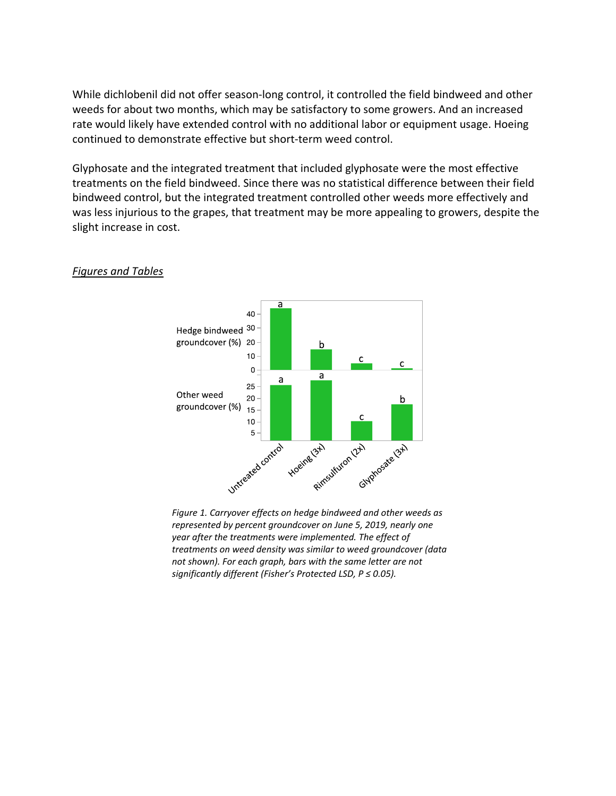While dichlobenil did not offer season-long control, it controlled the field bindweed and other weeds for about two months, which may be satisfactory to some growers. And an increased rate would likely have extended control with no additional labor or equipment usage. Hoeing continued to demonstrate effective but short-term weed control.

Glyphosate and the integrated treatment that included glyphosate were the most effective treatments on the field bindweed. Since there was no statistical difference between their field bindweed control, but the integrated treatment controlled other weeds more effectively and was less injurious to the grapes, that treatment may be more appealing to growers, despite the slight increase in cost.



## *Figures and Tables*

*represented by percent groundcover on June 5, 2019, nearly one year after the treatments were implemented. The effect of treatments on weed density was similar to weed groundcover (data not shown). For each graph, bars with the same letter are not significantly different (Fisher's Protected LSD, P ≤ 0.05).*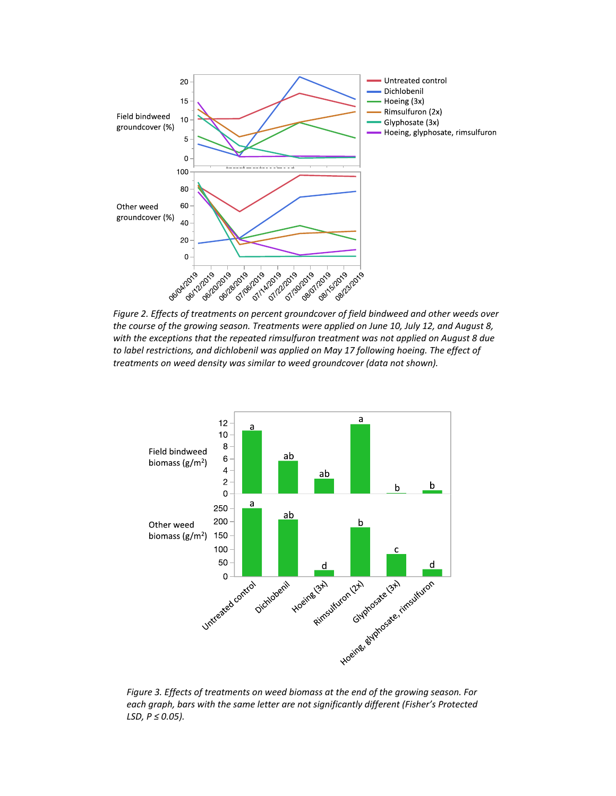

*Figure 2. Effects of treatments on percent groundcover of field bindweed and other weeds over the course of the growing season. Treatments were applied on June 10, July 12, and August 8, with the exceptions that the repeated rimsulfuron treatment was not applied on August 8 due to label restrictions, and dichlobenil was applied on May 17 following hoeing. The effect of treatments on weed density was similar to weed groundcover (data not shown).*



*Figure 3. Effects of treatments on weed biomass at the end of the growing season. For each graph, bars with the same letter are not significantly different (Fisher's Protected LSD, P ≤ 0.05).*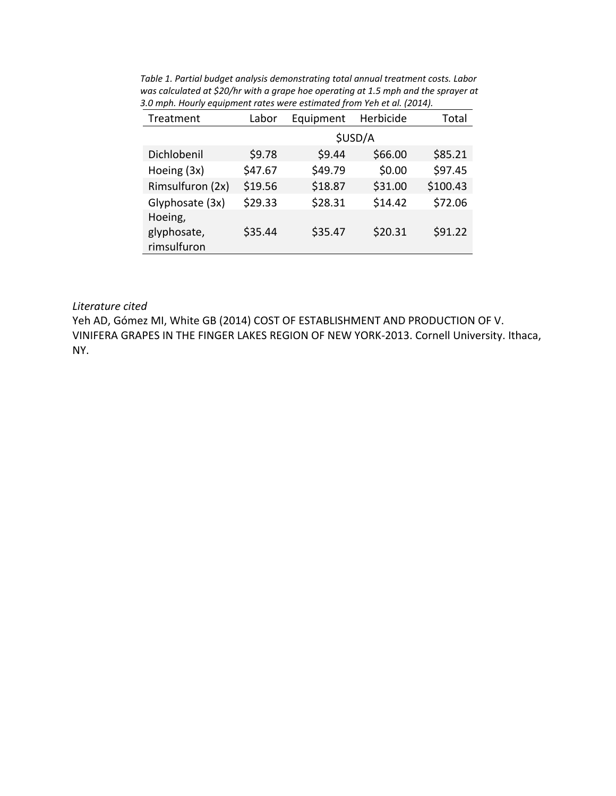| Treatment                             | Labor   | Equipment | Herbicide | Total    |
|---------------------------------------|---------|-----------|-----------|----------|
|                                       | \$USD/A |           |           |          |
| Dichlobenil                           | \$9.78  | \$9.44    | \$66.00   | \$85.21  |
| Hoeing (3x)                           | \$47.67 | \$49.79   | \$0.00    | \$97.45  |
| Rimsulfuron (2x)                      | \$19.56 | \$18.87   | \$31.00   | \$100.43 |
| Glyphosate (3x)                       | \$29.33 | \$28.31   | \$14.42   | \$72.06  |
| Hoeing,<br>glyphosate,<br>rimsulfuron | \$35.44 | \$35.47   | \$20.31   | \$91.22  |

*Table 1. Partial budget analysis demonstrating total annual treatment costs. Labor was calculated at \$20/hr with a grape hoe operating at 1.5 mph and the sprayer at 3.0 mph. Hourly equipment rates were estimated from Yeh et al. (2014).*

#### *Literature cited*

Yeh AD, Gómez MI, White GB (2014) COST OF ESTABLISHMENT AND PRODUCTION OF V. VINIFERA GRAPES IN THE FINGER LAKES REGION OF NEW YORK-2013. Cornell University. Ithaca, NY.